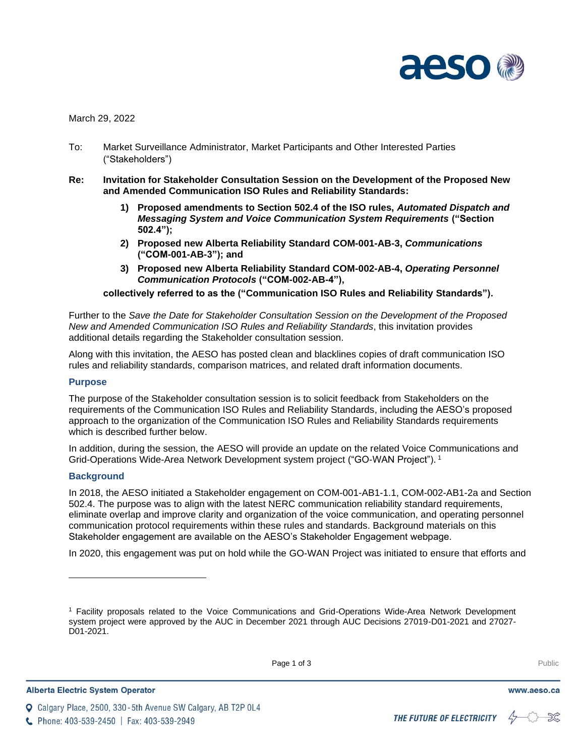

March 29, 2022

- To: Market Surveillance Administrator, Market Participants and Other Interested Parties ("Stakeholders")
- **Re: Invitation for Stakeholder Consultation Session on the Development of the Proposed New and Amended Communication ISO Rules and Reliability Standards:**
	- **1) Proposed amendments to Section 502.4 of the ISO rules,** *Automated Dispatch and Messaging System and Voice Communication System Requirements* **("Section 502.4");**
	- **2) Proposed new Alberta Reliability Standard COM-001-AB-3,** *Communications* **("COM-001-AB-3"); and**
	- **3) Proposed new Alberta Reliability Standard COM-002-AB-4,** *Operating Personnel Communication Protocols* **("COM-002-AB-4"),**

**collectively referred to as the ("Communication ISO Rules and Reliability Standards").**

Further to the *Save the Date for Stakeholder Consultation Session on the Development of the Proposed New and Amended Communication ISO Rules and Reliability Standards*, this invitation provides additional details regarding the Stakeholder consultation session.

Along with this invitation, the AESO has posted clean and blacklines copies of draft communication ISO rules and reliability standards, comparison matrices, and related draft information documents.

#### **Purpose**

The purpose of the Stakeholder consultation session is to solicit feedback from Stakeholders on the requirements of the Communication ISO Rules and Reliability Standards, including the AESO's proposed approach to the organization of the Communication ISO Rules and Reliability Standards requirements which is described further below.

In addition, during the session, the AESO will provide an update on the related Voice Communications and Grid-Operations Wide-Area Network Development system project ("GO-WAN Project"). 1

#### **Background**

In 2018, the AESO initiated a Stakeholder engagement on COM-001-AB1-1.1, COM-002-AB1-2a and Section 502.4. The purpose was to align with the latest NERC communication reliability standard requirements, eliminate overlap and improve clarity and organization of the voice communication, and operating personnel communication protocol requirements within these rules and standards. Background materials on this Stakeholder engagement are available on the AESO's Stakeholder Engagement webpage.

In 2020, this engagement was put on hold while the GO-WAN Project was initiated to ensure that efforts and

**Q** Calgary Place, 2500, 330-5th Avenue SW Calgary, AB T2P 0L4



www.aeso.ca

<sup>1</sup> Facility proposals related to the Voice Communications and Grid-Operations Wide-Area Network Development system project were approved by the AUC in December 2021 through AUC Decisions 27019-D01-2021 and 27027- D01-2021.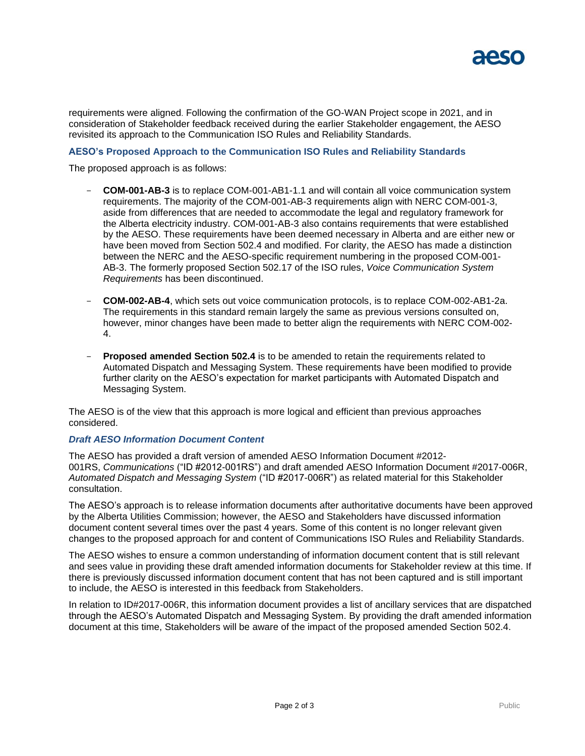

requirements were aligned. Following the confirmation of the GO-WAN Project scope in 2021, and in consideration of Stakeholder feedback received during the earlier Stakeholder engagement, the AESO revisited its approach to the Communication ISO Rules and Reliability Standards.

### **AESO's Proposed Approach to the Communication ISO Rules and Reliability Standards**

The proposed approach is as follows:

- **COM-001-AB-3** is to replace COM-001-AB1-1.1 and will contain all voice communication system requirements. The majority of the COM-001-AB-3 requirements align with NERC COM-001-3, aside from differences that are needed to accommodate the legal and regulatory framework for the Alberta electricity industry. COM-001-AB-3 also contains requirements that were established by the AESO. These requirements have been deemed necessary in Alberta and are either new or have been moved from Section 502.4 and modified. For clarity, the AESO has made a distinction between the NERC and the AESO-specific requirement numbering in the proposed COM-001- AB-3. The formerly proposed Section 502.17 of the ISO rules, *Voice Communication System Requirements* has been discontinued.
- **COM-002-AB-4**, which sets out voice communication protocols, is to replace COM-002-AB1-2a. The requirements in this standard remain largely the same as previous versions consulted on, however, minor changes have been made to better align the requirements with NERC COM-002- 4.
- **Proposed amended Section 502.4** is to be amended to retain the requirements related to Automated Dispatch and Messaging System. These requirements have been modified to provide further clarity on the AESO's expectation for market participants with Automated Dispatch and Messaging System.

The AESO is of the view that this approach is more logical and efficient than previous approaches considered.

#### *Draft AESO Information Document Content*

The AESO has provided a draft version of amended AESO Information Document #2012- 001RS, *Communications* ("ID #2012-001RS") and draft amended AESO Information Document #2017-006R, *Automated Dispatch and Messaging System* ("ID #2017-006R") as related material for this Stakeholder consultation.

The AESO's approach is to release information documents after authoritative documents have been approved by the Alberta Utilities Commission; however, the AESO and Stakeholders have discussed information document content several times over the past 4 years. Some of this content is no longer relevant given changes to the proposed approach for and content of Communications ISO Rules and Reliability Standards.

The AESO wishes to ensure a common understanding of information document content that is still relevant and sees value in providing these draft amended information documents for Stakeholder review at this time. If there is previously discussed information document content that has not been captured and is still important to include, the AESO is interested in this feedback from Stakeholders.

In relation to ID#2017-006R, this information document provides a list of ancillary services that are dispatched through the AESO's Automated Dispatch and Messaging System. By providing the draft amended information document at this time, Stakeholders will be aware of the impact of the proposed amended Section 502.4.